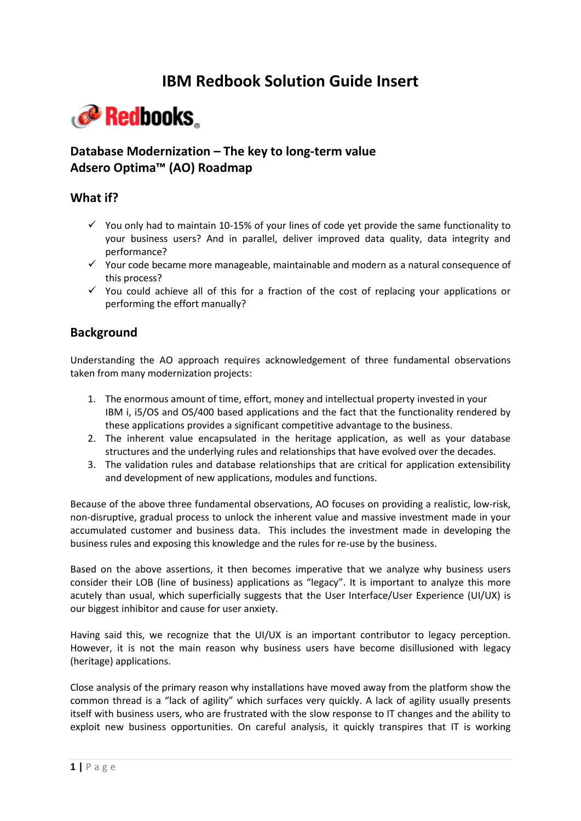# **IBM Redbook Solution Guide Insert**

# Redbooks

# **Database Modernization – The key to long-term value Adsero Optima™ (AO) Roadmap**

# **What if?**

- $\checkmark$  You only had to maintain 10-15% of your lines of code yet provide the same functionality to your business users? And in parallel, deliver improved data quality, data integrity and performance?
- $\checkmark$  Your code became more manageable, maintainable and modern as a natural consequence of this process?
- $\checkmark$  You could achieve all of this for a fraction of the cost of replacing your applications or performing the effort manually?

#### **Background**

Understanding the AO approach requires acknowledgement of three fundamental observations taken from many modernization projects:

- 1. The enormous amount of time, effort, money and intellectual property invested in your IBM i, i5/OS and OS/400 based applications and the fact that the functionality rendered by these applications provides a significant competitive advantage to the business.
- 2. The inherent value encapsulated in the heritage application, as well as your database structures and the underlying rules and relationships that have evolved over the decades.
- 3. The validation rules and database relationships that are critical for application extensibility and development of new applications, modules and functions.

Because of the above three fundamental observations, AO focuses on providing a realistic, low-risk, non-disruptive, gradual process to unlock the inherent value and massive investment made in your accumulated customer and business data. This includes the investment made in developing the business rules and exposing this knowledge and the rules for re-use by the business.

Based on the above assertions, it then becomes imperative that we analyze why business users consider their LOB (line of business) applications as "legacy". It is important to analyze this more acutely than usual, which superficially suggests that the User Interface/User Experience (UI/UX) is our biggest inhibitor and cause for user anxiety.

Having said this, we recognize that the UI/UX is an important contributor to legacy perception. However, it is not the main reason why business users have become disillusioned with legacy (heritage) applications.

Close analysis of the primary reason why installations have moved away from the platform show the common thread is a "lack of agility" which surfaces very quickly. A lack of agility usually presents itself with business users, who are frustrated with the slow response to IT changes and the ability to exploit new business opportunities. On careful analysis, it quickly transpires that IT is working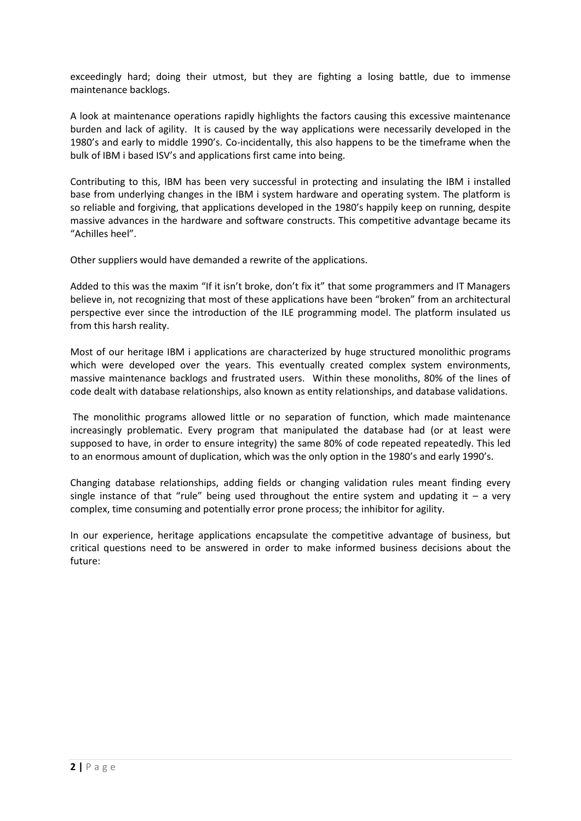exceedingly hard; doing their utmost, but they are fighting a losing battle, due to immense maintenance backlogs.

A look at maintenance operations rapidly highlights the factors causing this excessive maintenance burden and lack of agility. It is caused by the way applications were necessarily developed in the 1980's and early to middle 1990's. Co-incidentally, this also happens to be the timeframe when the bulk of IBM i based ISV's and applications first came into being.

Contributing to this, IBM has been very successful in protecting and insulating the IBM i installed base from underlying changes in the IBM i system hardware and operating system. The platform is so reliable and forgiving, that applications developed in the 1980's happily keep on running, despite massive advances in the hardware and software constructs. This competitive advantage became its "Achilles heel".

Other suppliers would have demanded a rewrite of the applications.

Added to this was the maxim "If it isn't broke, don't fix it" that some programmers and IT Managers believe in, not recognizing that most of these applications have been "broken" from an architectural perspective ever since the introduction of the ILE programming model. The platform insulated us from this harsh reality.

Most of our heritage IBM i applications are characterized by huge structured monolithic programs which were developed over the years. This eventually created complex system environments, massive maintenance backlogs and frustrated users. Within these monoliths, 80% of the lines of code dealt with database relationships, also known as entity relationships, and database validations.

The monolithic programs allowed little or no separation of function, which made maintenance increasingly problematic. Every program that manipulated the database had (or at least were supposed to have, in order to ensure integrity) the same 80% of code repeated repeatedly. This led to an enormous amount of duplication, which was the only option in the 1980's and early 1990's.

Changing database relationships, adding fields or changing validation rules meant finding every single instance of that "rule" being used throughout the entire system and updating it  $-$  a very complex, time consuming and potentially error prone process; the inhibitor for agility.

In our experience, heritage applications encapsulate the competitive advantage of business, but critical questions need to be answered in order to make informed business decisions about the future: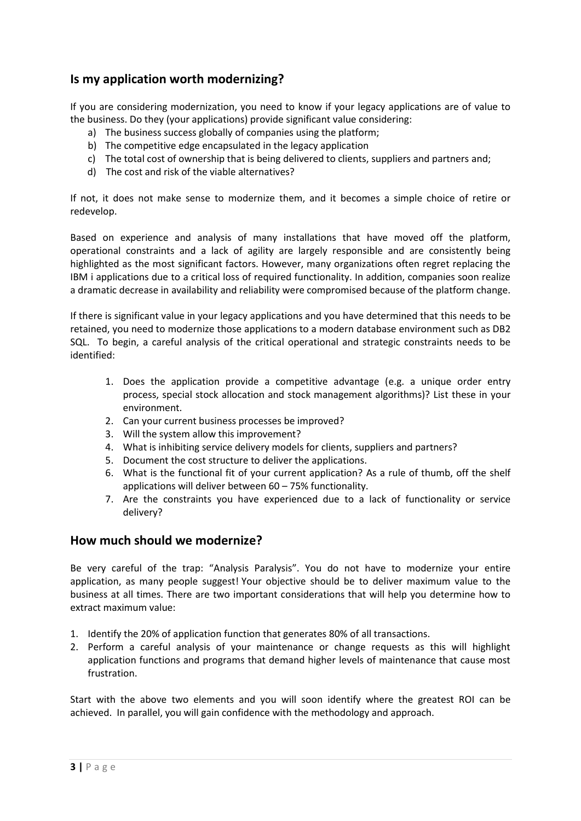# **Is my application worth modernizing?**

If you are considering modernization, you need to know if your legacy applications are of value to the business. Do they (your applications) provide significant value considering:

- a) The business success globally of companies using the platform;
- b) The competitive edge encapsulated in the legacy application
- c) The total cost of ownership that is being delivered to clients, suppliers and partners and;
- d) The cost and risk of the viable alternatives?

If not, it does not make sense to modernize them, and it becomes a simple choice of retire or redevelop.

Based on experience and analysis of many installations that have moved off the platform, operational constraints and a lack of agility are largely responsible and are consistently being highlighted as the most significant factors. However, many organizations often regret replacing the IBM i applications due to a critical loss of required functionality. In addition, companies soon realize a dramatic decrease in availability and reliability were compromised because of the platform change.

If there is significant value in your legacy applications and you have determined that this needs to be retained, you need to modernize those applications to a modern database environment such as DB2 SQL. To begin, a careful analysis of the critical operational and strategic constraints needs to be identified:

- 1. Does the application provide a competitive advantage (e.g. a unique order entry process, special stock allocation and stock management algorithms)? List these in your environment.
- 2. Can your current business processes be improved?
- 3. Will the system allow this improvement?
- 4. What is inhibiting service delivery models for clients, suppliers and partners?
- 5. Document the cost structure to deliver the applications.
- 6. What is the functional fit of your current application? As a rule of thumb, off the shelf applications will deliver between 60 – 75% functionality.
- 7. Are the constraints you have experienced due to a lack of functionality or service delivery?

#### **How much should we modernize?**

Be very careful of the trap: "Analysis Paralysis". You do not have to modernize your entire application, as many people suggest! Your objective should be to deliver maximum value to the business at all times. There are two important considerations that will help you determine how to extract maximum value:

- 1. Identify the 20% of application function that generates 80% of all transactions.
- 2. Perform a careful analysis of your maintenance or change requests as this will highlight application functions and programs that demand higher levels of maintenance that cause most frustration.

Start with the above two elements and you will soon identify where the greatest ROI can be achieved. In parallel, you will gain confidence with the methodology and approach.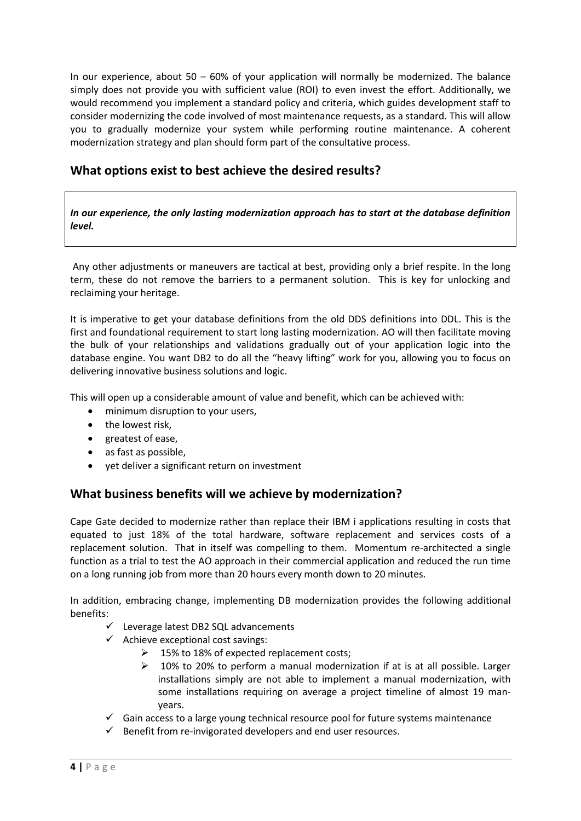In our experience, about  $50 - 60\%$  of your application will normally be modernized. The balance simply does not provide you with sufficient value (ROI) to even invest the effort. Additionally, we would recommend you implement a standard policy and criteria, which guides development staff to consider modernizing the code involved of most maintenance requests, as a standard. This will allow you to gradually modernize your system while performing routine maintenance. A coherent modernization strategy and plan should form part of the consultative process.

# **What options exist to best achieve the desired results?**

*In our experience, the only lasting modernization approach has to start at the database definition level.*

Any other adjustments or maneuvers are tactical at best, providing only a brief respite. In the long term, these do not remove the barriers to a permanent solution. This is key for unlocking and reclaiming your heritage.

It is imperative to get your database definitions from the old DDS definitions into DDL. This is the first and foundational requirement to start long lasting modernization. AO will then facilitate moving the bulk of your relationships and validations gradually out of your application logic into the database engine. You want DB2 to do all the "heavy lifting" work for you, allowing you to focus on delivering innovative business solutions and logic.

This will open up a considerable amount of value and benefit, which can be achieved with:

- minimum disruption to your users,
- the lowest risk,
- greatest of ease,
- as fast as possible,
- yet deliver a significant return on investment

# **What business benefits will we achieve by modernization?**

Cape Gate decided to modernize rather than replace their IBM i applications resulting in costs that equated to just 18% of the total hardware, software replacement and services costs of a replacement solution. That in itself was compelling to them. Momentum re-architected a single function as a trial to test the AO approach in their commercial application and reduced the run time on a long running job from more than 20 hours every month down to 20 minutes.

In addition, embracing change, implementing DB modernization provides the following additional benefits:

- $\checkmark$  Leverage latest DB2 SQL advancements
- $\checkmark$  Achieve exceptional cost savings:
	- $\geq$  15% to 18% of expected replacement costs;
	- $\geq$  10% to 20% to perform a manual modernization if at is at all possible. Larger installations simply are not able to implement a manual modernization, with some installations requiring on average a project timeline of almost 19 manyears.
- $\checkmark$  Gain access to a large young technical resource pool for future systems maintenance
- $\checkmark$  Benefit from re-invigorated developers and end user resources.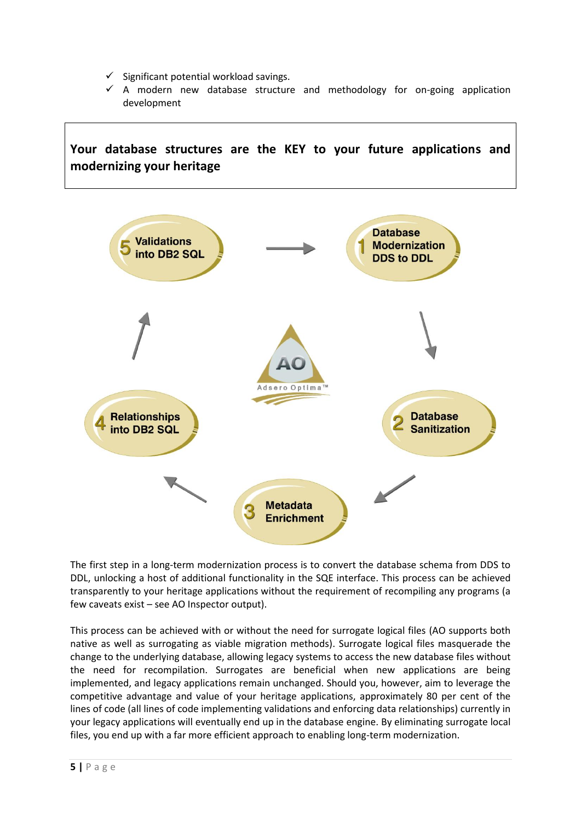- $\checkmark$  Significant potential workload savings.
- $\checkmark$  A modern new database structure and methodology for on-going application development



The first step in a long-term modernization process is to convert the database schema from DDS to DDL, unlocking a host of additional functionality in the SQE interface. This process can be achieved transparently to your heritage applications without the requirement of recompiling any programs (a few caveats exist – see AO Inspector output).

This process can be achieved with or without the need for surrogate logical files (AO supports both native as well as surrogating as viable migration methods). Surrogate logical files masquerade the change to the underlying database, allowing legacy systems to access the new database files without the need for recompilation. Surrogates are beneficial when new applications are being implemented, and legacy applications remain unchanged. Should you, however, aim to leverage the competitive advantage and value of your heritage applications, approximately 80 per cent of the lines of code (all lines of code implementing validations and enforcing data relationships) currently in your legacy applications will eventually end up in the database engine. By eliminating surrogate local files, you end up with a far more efficient approach to enabling long-term modernization.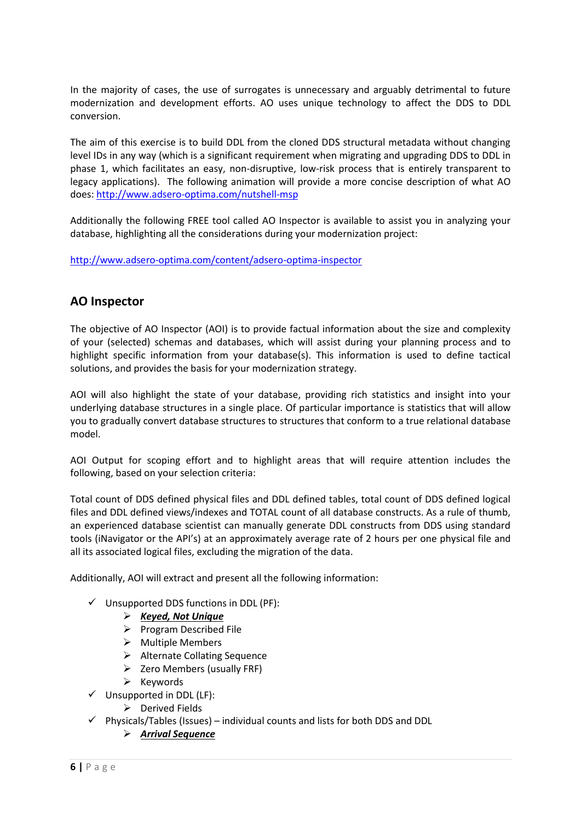In the majority of cases, the use of surrogates is unnecessary and arguably detrimental to future modernization and development efforts. AO uses unique technology to affect the DDS to DDL conversion.

The aim of this exercise is to build DDL from the cloned DDS structural metadata without changing level IDs in any way (which is a significant requirement when migrating and upgrading DDS to DDL in phase 1, which facilitates an easy, non-disruptive, low-risk process that is entirely transparent to legacy applications). The following animation will provide a more concise description of what AO does:<http://www.adsero-optima.com/nutshell-msp>

Additionally the following FREE tool called AO Inspector is available to assist you in analyzing your database, highlighting all the considerations during your modernization project:

<http://www.adsero-optima.com/content/adsero-optima-inspector>

# **AO Inspector**

The objective of AO Inspector (AOI) is to provide factual information about the size and complexity of your (selected) schemas and databases, which will assist during your planning process and to highlight specific information from your database(s). This information is used to define tactical solutions, and provides the basis for your modernization strategy.

AOI will also highlight the state of your database, providing rich statistics and insight into your underlying database structures in a single place. Of particular importance is statistics that will allow you to gradually convert database structures to structures that conform to a true relational database model.

AOI Output for scoping effort and to highlight areas that will require attention includes the following, based on your selection criteria:

Total count of DDS defined physical files and DDL defined tables, total count of DDS defined logical files and DDL defined views/indexes and TOTAL count of all database constructs. As a rule of thumb, an experienced database scientist can manually generate DDL constructs from DDS using standard tools (iNavigator or the API's) at an approximately average rate of 2 hours per one physical file and all its associated logical files, excluding the migration of the data.

Additionally, AOI will extract and present all the following information:

- $\checkmark$  Unsupported DDS functions in DDL (PF):
	- *Keyed, Not Unique*
	- $\triangleright$  Program Described File
	- $\triangleright$  Multiple Members
	- > Alternate Collating Sequence
	- $\triangleright$  Zero Members (usually FRF)
	- $\triangleright$  Keywords
- $\checkmark$  Unsupported in DDL (LF):
	- $\triangleright$  Derived Fields
- $\checkmark$  Physicals/Tables (Issues) individual counts and lists for both DDS and DDL
	- *Arrival Sequence*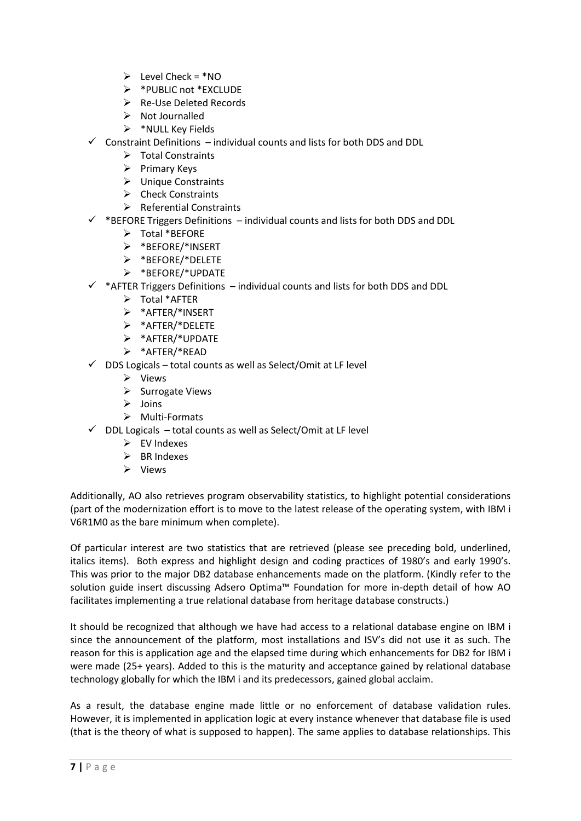- $\triangleright$  Level Check = \*NO
- \*PUBLIC not \*EXCLUDE
- Re-Use Deleted Records
- $\triangleright$  Not Journalled
- $\triangleright$  \*NULL Key Fields
- $\checkmark$  Constraint Definitions individual counts and lists for both DDS and DDL
	- > Total Constraints
	- $\triangleright$  Primary Keys
	- > Unique Constraints
	- $\triangleright$  Check Constraints
	- $\triangleright$  Referential Constraints
- $\checkmark$  \*BEFORE Triggers Definitions individual counts and lists for both DDS and DDL
	- > Total \*BEFORE
	- \*BEFORE/\*INSERT
	- \*BEFORE/\*DELETE
	- \*BEFORE/\*UPDATE
- $\checkmark$  \*AFTER Triggers Definitions individual counts and lists for both DDS and DDL
	- Total \*AFTER
	- \*AFTER/\*INSERT
	- \*AFTER/\*DELETE
	- \*AFTER/\*UPDATE
	- \*AFTER/\*READ
- $\checkmark$  DDS Logicals total counts as well as Select/Omit at LF level
	- $\triangleright$  Views
	- $\triangleright$  Surrogate Views
	- Joins
	- $\triangleright$  Multi-Formats
- $\checkmark$  DDL Logicals total counts as well as Select/Omit at LF level
	- $\triangleright$  EV Indexes
	- $\triangleright$  BR Indexes
	- $\triangleright$  Views

Additionally, AO also retrieves program observability statistics, to highlight potential considerations (part of the modernization effort is to move to the latest release of the operating system, with IBM i V6R1M0 as the bare minimum when complete).

Of particular interest are two statistics that are retrieved (please see preceding bold, underlined, italics items). Both express and highlight design and coding practices of 1980's and early 1990's. This was prior to the major DB2 database enhancements made on the platform. (Kindly refer to the solution guide insert discussing Adsero Optima™ Foundation for more in-depth detail of how AO facilitates implementing a true relational database from heritage database constructs.)

It should be recognized that although we have had access to a relational database engine on IBM i since the announcement of the platform, most installations and ISV's did not use it as such. The reason for this is application age and the elapsed time during which enhancements for DB2 for IBM i were made (25+ years). Added to this is the maturity and acceptance gained by relational database technology globally for which the IBM i and its predecessors, gained global acclaim.

As a result, the database engine made little or no enforcement of database validation rules. However, it is implemented in application logic at every instance whenever that database file is used (that is the theory of what is supposed to happen). The same applies to database relationships. This